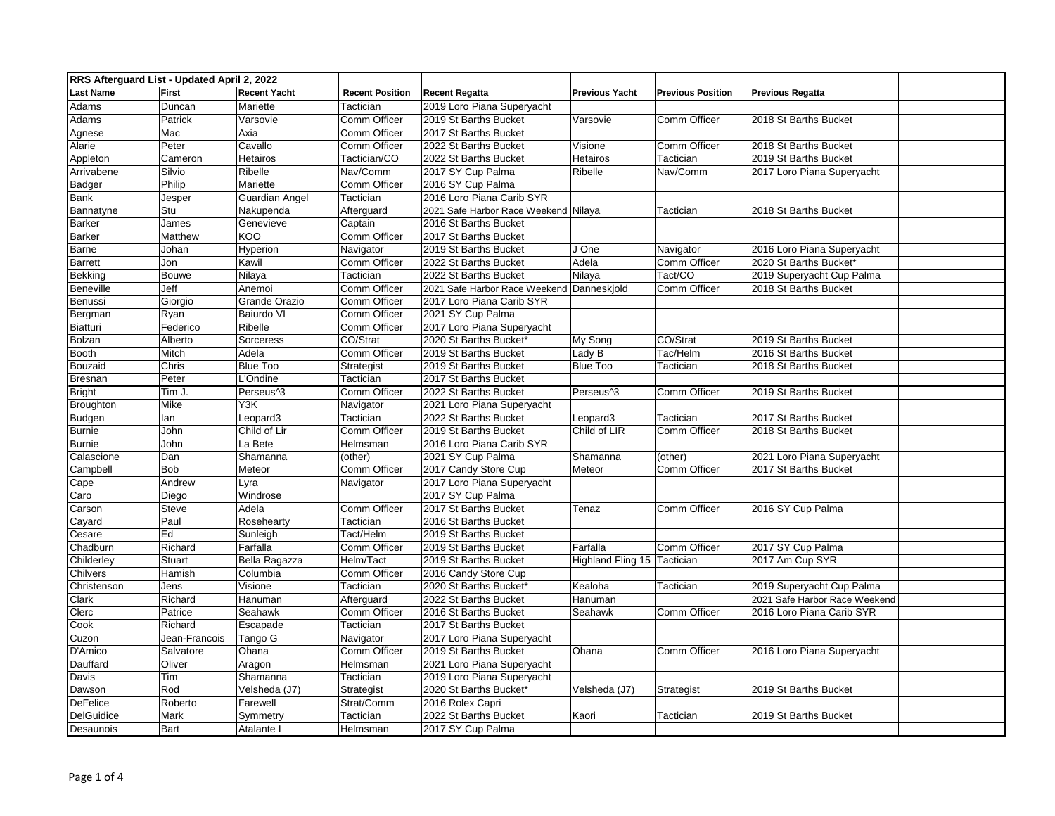| RRS Afterguard List - Updated April 2, 2022 |                |                        |                        |                                           |                             |                          |                               |  |
|---------------------------------------------|----------------|------------------------|------------------------|-------------------------------------------|-----------------------------|--------------------------|-------------------------------|--|
| <b>Last Name</b>                            | <b>First</b>   | <b>Recent Yacht</b>    | <b>Recent Position</b> | <b>Recent Regatta</b>                     | <b>Previous Yacht</b>       | <b>Previous Position</b> | <b>Previous Regatta</b>       |  |
| Adams                                       | Duncan         | Mariette               | Tactician              | 2019 Loro Piana Superyacht                |                             |                          |                               |  |
| Adams                                       | Patrick        | Varsovie               | Comm Officer           | 2019 St Barths Bucket                     | Varsovie                    | Comm Officer             | 2018 St Barths Bucket         |  |
| Agnese                                      | Mac            | Axia                   | <b>Comm Officer</b>    | 2017 St Barths Bucket                     |                             |                          |                               |  |
| Alarie                                      | Peter          | Cavallo                | Comm Officer           | 2022 St Barths Bucket                     | Visione                     | Comm Officer             | 2018 St Barths Bucket         |  |
| Appleton                                    | Cameron        | Hetairos               | Tactician/CO           | 2022 St Barths Bucket                     | Hetairos                    | Tactician                | 2019 St Barths Bucket         |  |
| Arrivabene                                  | Silvio         | Ribelle                | Nav/Comm               | 2017 SY Cup Palma                         | Ribelle                     | Nav/Comm                 | 2017 Loro Piana Superyacht    |  |
| <b>Badger</b>                               | Philip         | Mariette               | Comm Officer           | 2016 SY Cup Palma                         |                             |                          |                               |  |
| <b>Bank</b>                                 | Jesper         | Guardian Angel         | Tactician              | 2016 Loro Piana Carib SYR                 |                             |                          |                               |  |
| Bannatyne                                   | Stu            | Nakupenda              | Afterguard             | 2021 Safe Harbor Race Weekend Nilaya      |                             | Tactician                | 2018 St Barths Bucket         |  |
| <b>Barker</b>                               | James          | Genevieve              | Captain                | 2016 St Barths Bucket                     |                             |                          |                               |  |
| <b>Barker</b>                               | <b>Matthew</b> | KOO                    | Comm Officer           | 2017 St Barths Bucket                     |                             |                          |                               |  |
| Barne                                       | Johan          | Hyperion               | Navigator              | 2019 St Barths Bucket                     | J One                       | Navigator                | 2016 Loro Piana Superyacht    |  |
| <b>Barrett</b>                              | Jon            | Kawil                  | Comm Officer           | 2022 St Barths Bucket                     | Adela                       | Comm Officer             | 2020 St Barths Bucket*        |  |
| <b>Bekking</b>                              | <b>Bouwe</b>   | Nilaya                 | Tactician              | 2022 St Barths Bucket                     | Nilaya                      | Tact/CO                  | 2019 Superyacht Cup Palma     |  |
| Beneville                                   | Jeff           | Anemoi                 | Comm Officer           | 2021 Safe Harbor Race Weekend Danneskiold |                             | Comm Officer             | 2018 St Barths Bucket         |  |
| Benussi                                     | Giorgio        | Grande Orazio          | Comm Officer           | 2017 Loro Piana Carib SYR                 |                             |                          |                               |  |
| Bergman                                     | Ryan           | Baiurdo VI             | Comm Officer           | 2021 SY Cup Palma                         |                             |                          |                               |  |
| <b>Biatturi</b>                             | Federico       | Ribelle                | Comm Officer           | 2017 Loro Piana Superyacht                |                             |                          |                               |  |
| <b>Bolzan</b>                               | Alberto        | Sorceress              | CO/Strat               | 2020 St Barths Bucket*                    | My Song                     | CO/Strat                 | 2019 St Barths Bucket         |  |
| <b>Booth</b>                                | Mitch          | Adela                  | Comm Officer           | 2019 St Barths Bucket                     | Lady B                      | Tac/Helm                 | 2016 St Barths Bucket         |  |
| Bouzaid                                     | Chris          | Blue Too               | Strategist             | 2019 St Barths Bucket                     | Blue Too                    | Tactician                | 2018 St Barths Bucket         |  |
| <b>Bresnan</b>                              | Peter          | L'Ondine               | Tactician              | 2017 St Barths Bucket                     |                             |                          |                               |  |
| <b>Bright</b>                               | Tim J.         | Perseus <sup>1</sup> 3 | Comm Officer           | 2022 St Barths Bucket                     | Perseus <sup>1</sup> 3      | Comm Officer             | 2019 St Barths Bucket         |  |
| <b>Broughton</b>                            | Mike           | Y3K                    | Navigator              | 2021 Loro Piana Superyacht                |                             |                          |                               |  |
| <b>Budgen</b>                               | lan            | Leopard3               | Tactician              | 2022 St Barths Bucket                     | Leopard3                    | Tactician                | 2017 St Barths Bucket         |  |
| <b>Burnie</b>                               | John           | Child of Lir           | Comm Officer           | 2019 St Barths Bucket                     | Child of LIR                | Comm Officer             | 2018 St Barths Bucket         |  |
| <b>Burnie</b>                               | John           | La Bete                | Helmsman               | 2016 Loro Piana Carib SYR                 |                             |                          |                               |  |
| Calascione                                  | Dan            | Shamanna               | (other)                | 2021 SY Cup Palma                         | Shamanna                    | (other)                  | 2021 Loro Piana Superyacht    |  |
| Campbell                                    | Bob            | Meteor                 | Comm Officer           | 2017 Candy Store Cup                      | Meteor                      | Comm Officer             | 2017 St Barths Bucket         |  |
| Cape                                        | Andrew         | Lyra                   | Navigator              | 2017 Loro Piana Superyacht                |                             |                          |                               |  |
| Caro                                        | Diego          | Windrose               |                        | 2017 SY Cup Palma                         |                             |                          |                               |  |
| Carson                                      | Steve          | Adela                  | Comm Officer           | 2017 St Barths Bucket                     | Tenaz                       | Comm Officer             | 2016 SY Cup Palma             |  |
| Cayard                                      | Paul           | Rosehearty             | Tactician              | 2016 St Barths Bucket                     |                             |                          |                               |  |
| Cesare                                      | Ed             | Sunleigh               | Tact/Helm              | 2019 St Barths Bucket                     |                             |                          |                               |  |
| Chadburn                                    | Richard        | Farfalla               | Comm Officer           | 2019 St Barths Bucket                     | Farfalla                    | Comm Officer             | 2017 SY Cup Palma             |  |
| Childerley                                  | <b>Stuart</b>  | Bella Ragazza          | Helm/Tact              | 2019 St Barths Bucket                     | Highland Fling 15 Tactician |                          | 2017 Am Cup SYR               |  |
| Chilvers                                    | Hamish         | Columbia               | Comm Officer           | 2016 Candy Store Cup                      |                             |                          |                               |  |
| Christenson                                 | Jens           | Visione                | Tactician              | 2020 St Barths Bucket*                    | Kealoha                     | Tactician                | 2019 Superyacht Cup Palma     |  |
| Clark                                       | Richard        | Hanuman                | Afterguard             | 2022 St Barths Bucket                     | Hanuman                     |                          | 2021 Safe Harbor Race Weekend |  |
| Clerc                                       | Patrice        | Seahawk                | Comm Officer           | 2016 St Barths Bucket                     | Seahawk                     | Comm Officer             | 2016 Loro Piana Carib SYR     |  |
| Cook                                        | Richard        | Escapade               | Tactician              | 2017 St Barths Bucket                     |                             |                          |                               |  |
| Cuzon                                       | Jean-Francois  | Tango G                | Navigator              | 2017 Loro Piana Superyacht                |                             |                          |                               |  |
| D'Amico                                     | Salvatore      | Ohana                  | Comm Officer           | 2019 St Barths Bucket                     | Ohana                       | Comm Officer             | 2016 Loro Piana Superyacht    |  |
| Dauffard                                    | Oliver         | Aragon                 | Helmsman               | 2021 Loro Piana Superyacht                |                             |                          |                               |  |
| Davis                                       | Tim            | Shamanna               | Tactician              | 2019 Loro Piana Superyacht                |                             |                          |                               |  |
| Dawson                                      | Rod            | Velsheda (J7)          | Strategist             | 2020 St Barths Bucket*                    | Velsheda (J7)               | Strategist               | 2019 St Barths Bucket         |  |
| <b>DeFelice</b>                             | Roberto        | Farewell               | Strat/Comm             | 2016 Rolex Capri                          |                             |                          |                               |  |
| <b>DelGuidice</b>                           | Mark           | Symmetry               | Tactician              | 2022 St Barths Bucket                     | Kaori                       | Tactician                | 2019 St Barths Bucket         |  |
| Desaunois                                   | Bart           | Atalante I             | Helmsman               | 2017 SY Cup Palma                         |                             |                          |                               |  |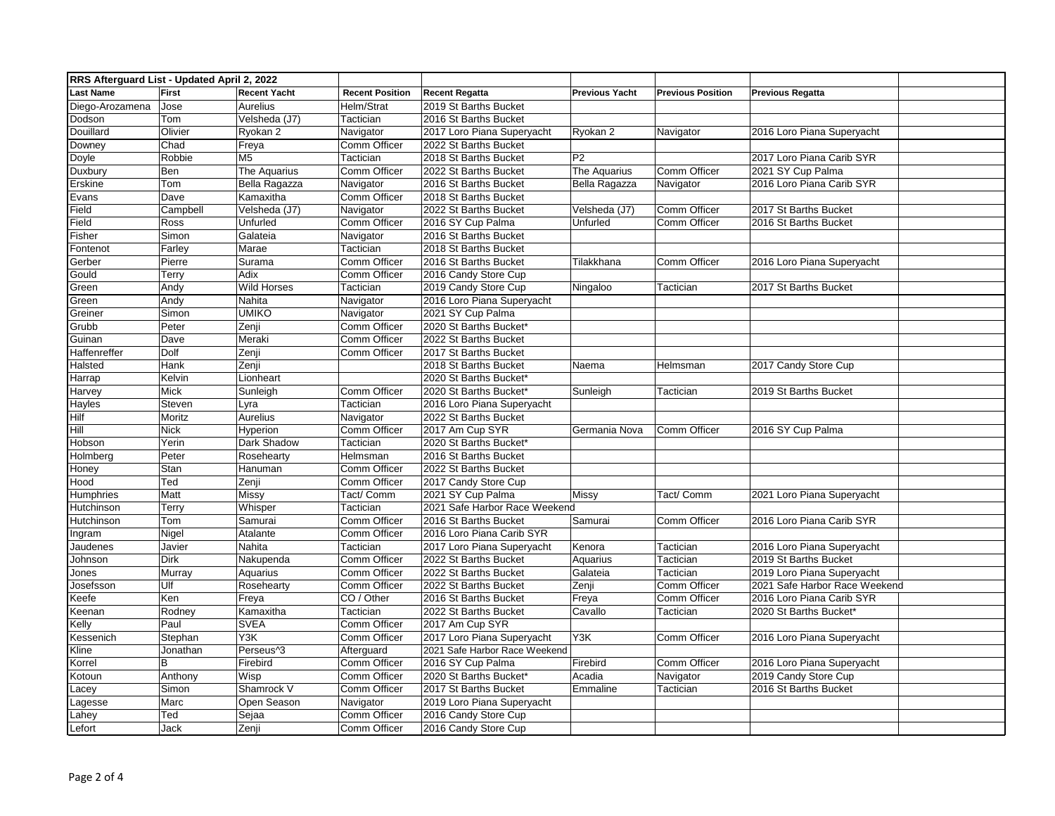| RRS Afterguard List - Updated April 2, 2022 |                          |                        |                        |                               |                       |                          |                               |
|---------------------------------------------|--------------------------|------------------------|------------------------|-------------------------------|-----------------------|--------------------------|-------------------------------|
| <b>Last Name</b>                            | First                    | <b>Recent Yacht</b>    | <b>Recent Position</b> | <b>Recent Regatta</b>         | <b>Previous Yacht</b> | <b>Previous Position</b> | <b>Previous Regatta</b>       |
| Diego-Arozamena                             | Jose                     | Aurelius               | Helm/Strat             | 2019 St Barths Bucket         |                       |                          |                               |
| Dodson                                      | Tom                      | Velsheda (J7)          | Tactician              | 2016 St Barths Bucket         |                       |                          |                               |
| Douillard                                   | Olivier                  | Ryokan 2               | Navigator              | 2017 Loro Piana Superyacht    | Ryokan 2              | Navigator                | 2016 Loro Piana Superyacht    |
| Downey                                      | $\overline{\text{Chad}}$ | Freya                  | Comm Officer           | 2022 St Barths Bucket         |                       |                          |                               |
| Doyle                                       | Robbie                   | M <sub>5</sub>         | Tactician              | 2018 St Barths Bucket         | P <sub>2</sub>        |                          | 2017 Loro Piana Carib SYR     |
| Duxbury                                     | Ben                      | The Aquarius           | Comm Officer           | 2022 St Barths Bucket         | The Aquarius          | Comm Officer             | 2021 SY Cup Palma             |
| Erskine                                     | Tom                      | Bella Ragazza          | Navigator              | 2016 St Barths Bucket         | Bella Ragazza         | Navigator                | 2016 Loro Piana Carib SYR     |
| Evans                                       | Dave                     | Kamaxitha              | Comm Officer           | 2018 St Barths Bucket         |                       |                          |                               |
| Field                                       | Campbell                 | Velsheda (J7)          | Navigator              | 2022 St Barths Bucket         | Velsheda (J7)         | Comm Officer             | 2017 St Barths Bucket         |
| Field                                       | Ross                     | Unfurled               | Comm Officer           | 2016 SY Cup Palma             | Unfurled              | Comm Officer             | 2016 St Barths Bucket         |
| Fisher                                      | Simon                    | Galateia               | Navigator              | 2016 St Barths Bucket         |                       |                          |                               |
| Fontenot                                    | Farley                   | Marae                  | Tactician              | 2018 St Barths Bucket         |                       |                          |                               |
| Gerber                                      | Pierre                   | Surama                 | Comm Officer           | 2016 St Barths Bucket         | Tilakkhana            | Comm Officer             | 2016 Loro Piana Superyacht    |
| Gould                                       | Terry                    | Adix                   | Comm Officer           | 2016 Candy Store Cup          |                       |                          |                               |
| Green                                       | Andy                     | <b>Wild Horses</b>     | Tactician              | 2019 Candy Store Cup          | Ningaloo              | Tactician                | 2017 St Barths Bucket         |
| Green                                       | Andy                     | Nahita                 | Navigator              | 2016 Loro Piana Superyacht    |                       |                          |                               |
| Greiner                                     | Simon                    | <b>UMIKO</b>           | Navigator              | 2021 SY Cup Palma             |                       |                          |                               |
| Grubb                                       | Peter                    | Zenji                  | Comm Officer           | 2020 St Barths Bucket*        |                       |                          |                               |
| Guinan                                      | Dave                     | Meraki                 | Comm Officer           | 2022 St Barths Bucket         |                       |                          |                               |
| Haffenreffer                                | Dolf                     | Zenji                  | Comm Officer           | 2017 St Barths Bucket         |                       |                          |                               |
| Halsted                                     | Hank                     | Zenji                  |                        | 2018 St Barths Bucket         | Naema                 | Helmsman                 | 2017 Candy Store Cup          |
| Harrap                                      | Kelvin                   | Lionheart              |                        | 2020 St Barths Bucket*        |                       |                          |                               |
| Harvey                                      | Mick                     | Sunleigh               | Comm Officer           | 2020 St Barths Bucket*        | Sunleigh              | Tactician                | 2019 St Barths Bucket         |
| Hayles                                      | Steven                   | Lyra                   | Tactician              | 2016 Loro Piana Superyacht    |                       |                          |                               |
| <b>Hilf</b>                                 | Moritz                   | Aurelius               | Navigator              | 2022 St Barths Bucket         |                       |                          |                               |
| Hill                                        | Nick                     | Hyperion               | Comm Officer           | 2017 Am Cup SYR               | Germania Nova         | Comm Officer             | 2016 SY Cup Palma             |
| Hobson                                      | Yerin                    | Dark Shadow            | Tactician              | 2020 St Barths Bucket*        |                       |                          |                               |
| Holmberg                                    | Peter                    | Rosehearty             | Helmsman               | 2016 St Barths Bucket         |                       |                          |                               |
| Honey                                       | Stan                     | Hanuman                | Comm Officer           | 2022 St Barths Bucket         |                       |                          |                               |
| Hood                                        | Ted                      | Zenji                  | Comm Officer           | 2017 Candy Store Cup          |                       |                          |                               |
| Humphries                                   | Matt                     | Missy                  | Tact/ Comm             | 2021 SY Cup Palma             | Missy                 | Tact/ Comm               | 2021 Loro Piana Superyacht    |
| <b>Hutchinson</b>                           | Terry                    | Whisper                | Tactician              | 2021 Safe Harbor Race Weekend |                       |                          |                               |
| Hutchinson                                  | Tom                      | Samurai                | Comm Officer           | 2016 St Barths Bucket         | Samurai               | Comm Officer             | 2016 Loro Piana Carib SYR     |
| Ingram                                      | Nigel                    | Atalante               | <b>Comm Officer</b>    | 2016 Loro Piana Carib SYR     |                       |                          |                               |
| Jaudenes                                    | Javier                   | Nahita                 | Tactician              | 2017 Loro Piana Superyacht    | Kenora                | Tactician                | 2016 Loro Piana Superyacht    |
| Johnson                                     | Dirk                     | Nakupenda              | Comm Officer           | 2022 St Barths Bucket         | Aquarius              | Tactician                | 2019 St Barths Bucket         |
| Jones                                       | Murray                   | Aquarius               | Comm Officer           | 2022 St Barths Bucket         | Galateia              | Tactician                | 2019 Loro Piana Superyacht    |
| Josefsson                                   | Ulf                      | Rosehearty             | Comm Officer           | 2022 St Barths Bucket         | Zenji                 | Comm Officer             | 2021 Safe Harbor Race Weekend |
| Keefe                                       | Ken                      | Freya                  | CO / Other             | 2016 St Barths Bucket         | Freya                 | Comm Officer             | 2016 Loro Piana Carib SYR     |
| Keenan                                      | Rodney                   | Kamaxitha              | Tactician              | 2022 St Barths Bucket         | Cavallo               | Tactician                | 2020 St Barths Bucket*        |
| Kelly                                       | Paul                     | <b>SVEA</b>            | Comm Officer           | 2017 Am Cup SYR               |                       |                          |                               |
| Kessenich                                   | Stephan                  | Y3K                    | Comm Officer           | 2017 Loro Piana Superyacht    | Y3K                   | Comm Officer             | 2016 Loro Piana Superyacht    |
| Kline                                       | Jonathan                 | Perseus <sup>1</sup> 3 | Afterguard             | 2021 Safe Harbor Race Weekend |                       |                          |                               |
| Korrel                                      | В                        | Firebird               | Comm Officer           | 2016 SY Cup Palma             | Firebird              | Comm Officer             | 2016 Loro Piana Superyacht    |
| Kotoun                                      | Anthony                  | Wisp                   | Comm Officer           | 2020 St Barths Bucket*        | Acadia                | Navigator                | 2019 Candy Store Cup          |
| Lacey                                       | Simon                    | Shamrock V             | Comm Officer           | 2017 St Barths Bucket         | Emmaline              | Tactician                | 2016 St Barths Bucket         |
| _agesse                                     | Marc                     | Open Season            | Navigator              | 2019 Loro Piana Superyacht    |                       |                          |                               |
| Lahey                                       | Ted                      | Sejaa                  | Comm Officer           | 2016 Candy Store Cup          |                       |                          |                               |
| Lefort                                      | Jack                     | Zenji                  | Comm Officer           | 2016 Candy Store Cup          |                       |                          |                               |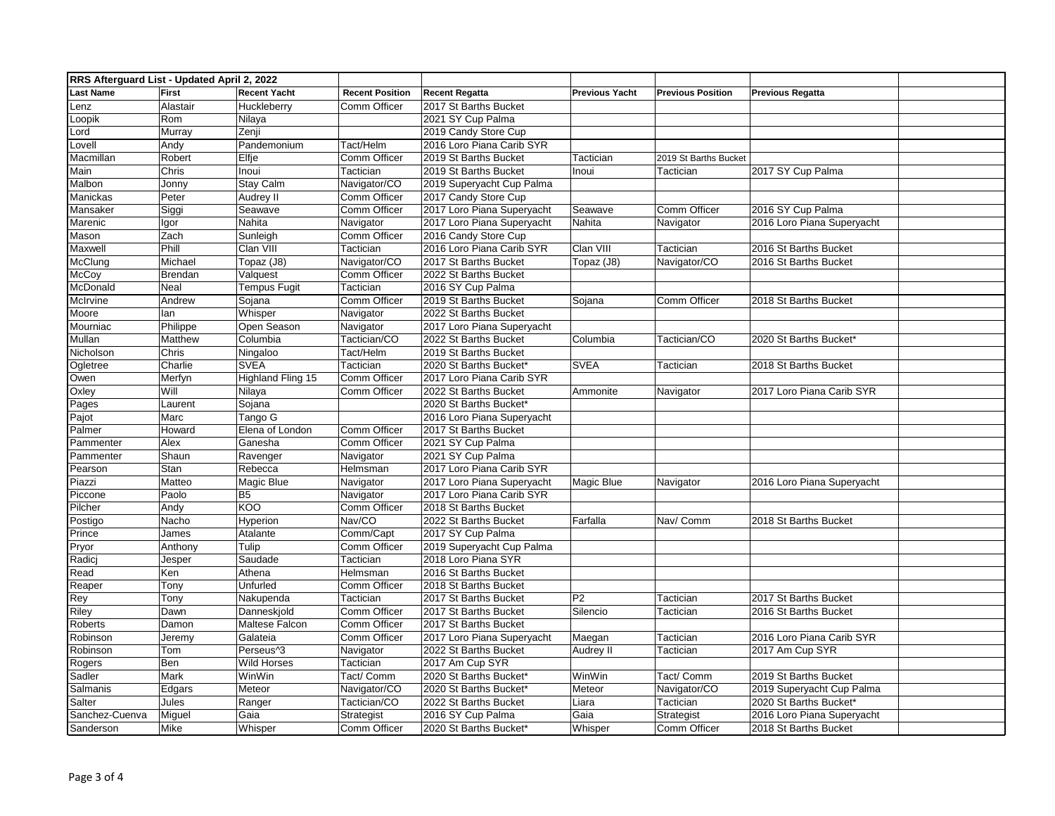| RRS Afterguard List - Updated April 2, 2022 |                |                          |                        |                            |                       |                          |                            |  |
|---------------------------------------------|----------------|--------------------------|------------------------|----------------------------|-----------------------|--------------------------|----------------------------|--|
| <b>Last Name</b>                            | <b>First</b>   | <b>Recent Yacht</b>      | <b>Recent Position</b> | <b>Recent Regatta</b>      | <b>Previous Yacht</b> | <b>Previous Position</b> | <b>Previous Regatta</b>    |  |
| Lenz                                        | Alastair       | Huckleberry              | Comm Officer           | 2017 St Barths Bucket      |                       |                          |                            |  |
| Loopik                                      | Rom            | Nilaya                   |                        | 2021 SY Cup Palma          |                       |                          |                            |  |
| _ord                                        | Murray         | Zenji                    |                        | 2019 Candy Store Cup       |                       |                          |                            |  |
| Lovell                                      | Andy           | Pandemonium              | Tact/Helm              | 2016 Loro Piana Carib SYR  |                       |                          |                            |  |
| Macmillan                                   | Robert         | Elfje                    | Comm Officer           | 2019 St Barths Bucket      | Tactician             | 2019 St Barths Bucket    |                            |  |
| Main                                        | Chris          | Inoui                    | Tactician              | 2019 St Barths Bucket      | Inoui                 | Tactician                | 2017 SY Cup Palma          |  |
| Malbon                                      | Jonny          | <b>Stay Calm</b>         | Navigator/CO           | 2019 Superyacht Cup Palma  |                       |                          |                            |  |
| Manickas                                    | Peter          | <b>Audrey II</b>         | Comm Officer           | 2017 Candy Store Cup       |                       |                          |                            |  |
| Mansaker                                    | Siggi          | Seawave                  | Comm Officer           | 2017 Loro Piana Superyacht | Seawave               | Comm Officer             | 2016 SY Cup Palma          |  |
| Marenic                                     | lgor           | Nahita                   | Navigator              | 2017 Loro Piana Superyacht | Nahita                | Navigator                | 2016 Loro Piana Superyacht |  |
| Mason                                       | Zach           | Sunleigh                 | Comm Officer           | 2016 Candy Store Cup       |                       |                          |                            |  |
| Maxwell                                     | Phill          | Clan VIII                | Tactician              | 2016 Loro Piana Carib SYR  | Clan VIII             | Tactician                | 2016 St Barths Bucket      |  |
| McClung                                     | Michael        | Topaz (J8)               | Navigator/CO           | 2017 St Barths Bucket      | Topaz (J8)            | Navigator/CO             | 2016 St Barths Bucket      |  |
| McCoy                                       | <b>Brendan</b> | Valquest                 | Comm Officer           | 2022 St Barths Bucket      |                       |                          |                            |  |
| McDonald                                    | Neal           | <b>Tempus Fugit</b>      | Tactician              | 2016 SY Cup Palma          |                       |                          |                            |  |
| McIrvine                                    | Andrew         | Sojana                   | Comm Officer           | 2019 St Barths Bucket      | Sojana                | Comm Officer             | 2018 St Barths Bucket      |  |
| Moore                                       | lan            | Whisper                  | Navigator              | 2022 St Barths Bucket      |                       |                          |                            |  |
| Mourniac                                    | Philippe       | Open Season              | Navigator              | 2017 Loro Piana Superyacht |                       |                          |                            |  |
| Mullan                                      | <b>Matthew</b> | Columbia                 | Tactician/CO           | 2022 St Barths Bucket      | Columbia              | Tactician/CO             | 2020 St Barths Bucket*     |  |
| Nicholson                                   | Chris          | Ningaloo                 | Tact/Helm              | 2019 St Barths Bucket      |                       |                          |                            |  |
| Ogletree                                    | Charlie        | <b>SVEA</b>              | Tactician              | 2020 St Barths Bucket*     | <b>SVEA</b>           | Tactician                | 2018 St Barths Bucket      |  |
| Owen                                        | Merfyn         | <b>Highland Fling 15</b> | Comm Officer           | 2017 Loro Piana Carib SYR  |                       |                          |                            |  |
| Oxley                                       | Will           | Nilaya                   | Comm Officer           | 2022 St Barths Bucket      | Ammonite              | Navigator                | 2017 Loro Piana Carib SYR  |  |
| Pages                                       | Laurent        | Sojana                   |                        | 2020 St Barths Bucket*     |                       |                          |                            |  |
| Pajot                                       | Marc           | Tango G                  |                        | 2016 Loro Piana Superyacht |                       |                          |                            |  |
| Palmer                                      | Howard         | Elena of London          | Comm Officer           | 2017 St Barths Bucket      |                       |                          |                            |  |
| Pammenter                                   | Alex           | Ganesha                  | Comm Officer           | 2021 SY Cup Palma          |                       |                          |                            |  |
| Pammenter                                   | Shaun          | Ravenger                 | Navigator              | 2021 SY Cup Palma          |                       |                          |                            |  |
| Pearson                                     | Stan           | Rebecca                  | Helmsman               | 2017 Loro Piana Carib SYR  |                       |                          |                            |  |
| Piazzi                                      | Matteo         | Magic Blue               | Navigator              | 2017 Loro Piana Superyacht | Magic Blue            | Navigator                | 2016 Loro Piana Superyacht |  |
| Piccone                                     | Paolo          | <b>B5</b>                | Navigator              | 2017 Loro Piana Carib SYR  |                       |                          |                            |  |
| Pilcher                                     | Andy           | KOO                      | Comm Officer           | 2018 St Barths Bucket      |                       |                          |                            |  |
| Postigo                                     | Nacho          | Hyperion                 | Nav/CO                 | 2022 St Barths Bucket      | Farfalla              | Nav/ Comm                | 2018 St Barths Bucket      |  |
| Prince                                      | James          | Atalante                 | Comm/Capt              | 2017 SY Cup Palma          |                       |                          |                            |  |
| Pryor                                       | Anthony        | Tulip                    | Comm Officer           | 2019 Superyacht Cup Palma  |                       |                          |                            |  |
| Radicj                                      | Jesper         | Saudade                  | Tactician              | 2018 Loro Piana SYR        |                       |                          |                            |  |
| Read                                        | Ken            | Athena                   | Helmsman               | 2016 St Barths Bucket      |                       |                          |                            |  |
| Reaper                                      | Tony           | <b>Unfurled</b>          | Comm Officer           | 2018 St Barths Bucket      |                       |                          |                            |  |
| Rey                                         | Tony           | Nakupenda                | Tactician              | 2017 St Barths Bucket      | P <sub>2</sub>        | Tactician                | 2017 St Barths Bucket      |  |
| Riley                                       | Dawn           | Danneskiold              | Comm Officer           | 2017 St Barths Bucket      | Silencio              | Tactician                | 2016 St Barths Bucket      |  |
| Roberts                                     | Damon          | Maltese Falcon           | Comm Officer           | 2017 St Barths Bucket      |                       |                          |                            |  |
| Robinson                                    | Jeremy         | Galateia                 | Comm Officer           | 2017 Loro Piana Superyacht | Maegan                | Tactician                | 2016 Loro Piana Carib SYR  |  |
| Robinson                                    | Tom            | Perseus <sup>1</sup> 3   | Navigator              | 2022 St Barths Bucket      | Audrey II             | Tactician                | 2017 Am Cup SYR            |  |
| Rogers                                      | Ben            | <b>Wild Horses</b>       | Tactician              | 2017 Am Cup SYR            |                       |                          |                            |  |
| Sadler                                      | Mark           | WinWin                   | Tact/ Comm             | 2020 St Barths Bucket*     | WinWin                | Tact/ Comm               | 2019 St Barths Bucket      |  |
| Salmanis                                    | Edgars         | Meteor                   | Navigator/CO           | 2020 St Barths Bucket*     | Meteor                | Navigator/CO             | 2019 Superyacht Cup Palma  |  |
| Salter                                      | Jules          | Ranger                   | Tactician/CO           | 2022 St Barths Bucket      | Liara                 | Tactician                | 2020 St Barths Bucket*     |  |
| Sanchez-Cuenva                              | Miguel         | Gaia                     | Strategist             | 2016 SY Cup Palma          | Gaia                  | Strategist               | 2016 Loro Piana Superyacht |  |
| Sanderson                                   | Mike           | Whisper                  | Comm Officer           | 2020 St Barths Bucket*     | Whisper               | Comm Officer             | 2018 St Barths Bucket      |  |